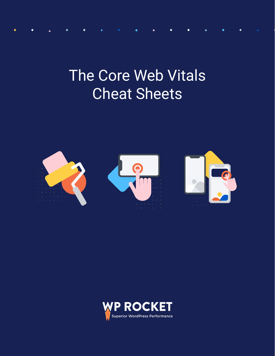## The Core Web Vitals Cheat Sheets



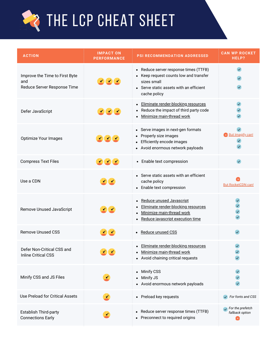

| <b>ACTION</b>                                                        | <b>IMPACT ON</b><br><b>PERFORMANCE</b> | PSI RECOMMENDATION ADDRESSED                                                                                                                                     | <b>CAN WP ROCKET</b><br>HELP?                            |
|----------------------------------------------------------------------|----------------------------------------|------------------------------------------------------------------------------------------------------------------------------------------------------------------|----------------------------------------------------------|
| Improve the Time to First Byte<br>and<br>Reduce Server Response Time | 20C                                    | Reduce server response times (TTFB)<br>$\bullet$<br>Keep request counts low and transfer<br>sizes small<br>Serve static assets with an efficient<br>cache policy |                                                          |
| Defer JavaScript                                                     | 200                                    | Eliminate render-blocking resources<br>٠<br>Reduce the impact of third party code<br>Minimize main-thread work                                                   | $\checkmark$                                             |
| Optimize Your Images                                                 | 200                                    | • Serve images in next-gen formats<br>Properly size images<br>$\bullet$<br>Efficiently encode images<br>Avoid enormous network payloads                          | <b>But Imagify can!</b><br>$\checkmark$                  |
| <b>Compress Text Files</b>                                           | 200                                    | • Enable text compression                                                                                                                                        |                                                          |
| Use a CDN                                                            | Z C                                    | • Serve static assets with an efficient<br>cache policy<br>• Enable text compression                                                                             | <b>But RocketCDN can!</b>                                |
| Remove Unused JavaScript                                             | $\bullet$                              | Reduce unused Javascript<br>٠<br>Eliminate render-blocking resources<br>Minimize main-thread work<br>Reduce javascript execution time                            |                                                          |
| <b>Remove Unused CSS</b>                                             | $\leq$                                 | • Reduce unused CSS                                                                                                                                              |                                                          |
| Defer Non-Critical CSS and<br><b>Inline Critical CSS</b>             | $\mathbf{r}$ and $\mathbf{r}$          | • Eliminate render-blocking resources<br>Minimize main-thread work<br>• Avoid chaining critical requests                                                         |                                                          |
| Minify CSS and JS Files                                              |                                        | <b>Minify CSS</b><br>٠<br>Minify JS<br>• Avoid enormous network payloads                                                                                         |                                                          |
| Use Preload for Critical Assets                                      |                                        | • Preload key requests                                                                                                                                           | $\sqrt{\phantom{a}}$ For fonts and CSS                   |
| <b>Establish Third-party</b><br><b>Connections Early</b>             |                                        | Reduce server response times (TTFB)<br>Preconnect to required origins                                                                                            | $\sqrt{\phantom{a}}$ For the prefetch<br>fallback option |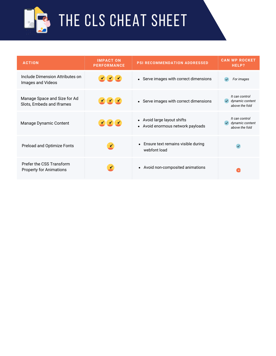

## **LE CLS [CHEAT](https://docs.google.com/document/d/1F6pkepam2Z9ZTmq68Zf20CS4To5Xd33MXChemm4KJ4M/edit#heading=h.hbpyvthu9wn9) SHEET**

| <b>ACTION</b>                                              | <b>IMPACT ON</b><br><b>PERFORMANCE</b>                                        | <b>PSI RECOMMENDATION ADDRESSED</b>                              | <b>CAN WP ROCKET</b><br>HELP?                       |
|------------------------------------------------------------|-------------------------------------------------------------------------------|------------------------------------------------------------------|-----------------------------------------------------|
| Include Dimension Attributes on<br>Images and Videos       | $\frac{1}{2}$ , $\frac{1}{2}$ , $\frac{1}{2}$ , $\frac{1}{2}$ , $\frac{1}{2}$ | • Serve images with correct dimensions                           | For images<br>$\checkmark$                          |
| Manage Space and Size for Ad<br>Slots, Embeds and Iframes  | 333                                                                           | • Serve images with correct dimensions                           | It can control<br>dynamic content<br>above the fold |
| Manage Dynamic Content                                     | 220                                                                           | • Avoid large layout shifts<br>• Avoid enormous network payloads | It can control<br>dynamic content<br>above the fold |
| Preload and Optimize Fonts                                 |                                                                               | Ensure text remains visible during<br>$\bullet$<br>webfont load  |                                                     |
| Prefer the CSS Transform<br><b>Property for Animations</b> |                                                                               | Avoid non-composited animations<br>$\bullet$                     |                                                     |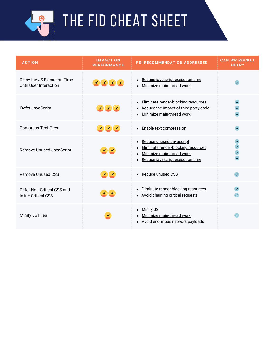

THE FID [CHEAT](https://docs.google.com/document/d/1F6pkepam2Z9ZTmq68Zf20CS4To5Xd33MXChemm4KJ4M/edit#heading=h.hbpyvthu9wn9) SHEET

| <b>ACTION</b>                                            | <b>IMPACT ON</b><br><b>PERFORMANCE</b> | <b>PSI RECOMMENDATION ADDRESSED</b>                                                                                                                                                  | <b>CAN WP ROCKET</b><br>HELP? |
|----------------------------------------------------------|----------------------------------------|--------------------------------------------------------------------------------------------------------------------------------------------------------------------------------------|-------------------------------|
| Delay the JS Execution Time<br>Until User Interaction    | 2000                                   | Reduce javascript execution time<br>$\bullet$<br>Minimize main-thread work<br>$\bullet$                                                                                              |                               |
| Defer JavaScript                                         | 200                                    | Eliminate render-blocking resources<br>$\bullet$<br>Reduce the impact of third party code<br>$\bullet$<br>Minimize main-thread work<br>$\bullet$                                     |                               |
| <b>Compress Text Files</b>                               | 222                                    | • Enable text compression                                                                                                                                                            |                               |
| Remove Unused JavaScript                                 | <b>ZC</b>                              | Reduce unused Javascript<br>$\bullet$<br>Eliminate render-blocking resources<br>$\bullet$<br>Minimize main-thread work<br>$\bullet$<br>Reduce javascript execution time<br>$\bullet$ |                               |
| <b>Remove Unused CSS</b>                                 | $\mathbf{Z}$                           | • Reduce unused CSS                                                                                                                                                                  | $\checkmark$                  |
| Defer Non-Critical CSS and<br><b>Inline Critical CSS</b> | $\leq$ ( $\leq$                        | • Eliminate render-blocking resources<br>• Avoid chaining critical requests                                                                                                          |                               |
| Minify JS Files                                          | ✔                                      | Minify JS<br>$\bullet$<br>Minimize main-thread work<br>$\bullet$<br>• Avoid enormous network payloads                                                                                |                               |